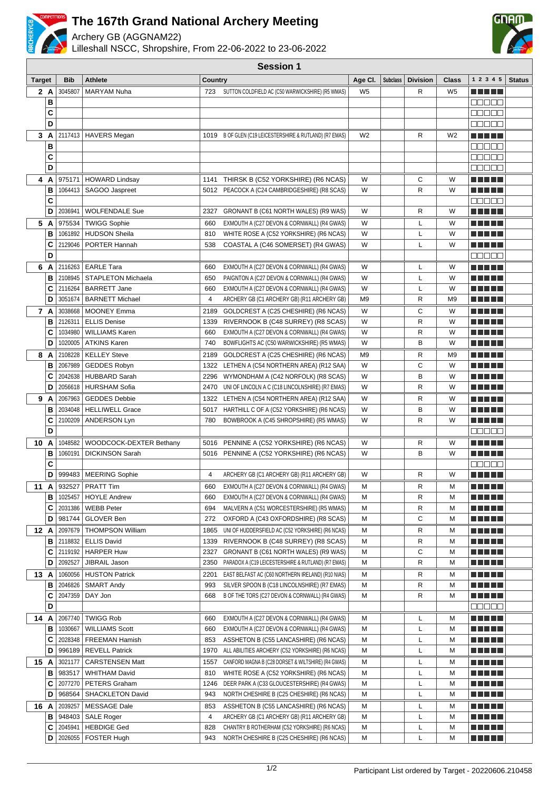

## **The 167th Grand National Archery Meeting**

Archery GB (AGGNAM22)



Lilleshall NSCC, Shropshire, From 22-06-2022 to 23-06-2022 **Session 1**

| <b>Target</b> |        | <b>Bib</b>         | <b>Athlete</b>            | <b>Country</b> |                                                                                                  | Age Cl.        | <b>Subclass</b> | <b>Division</b> | Class          | 1 2 3 4 5                          | <b>Status</b> |
|---------------|--------|--------------------|---------------------------|----------------|--------------------------------------------------------------------------------------------------|----------------|-----------------|-----------------|----------------|------------------------------------|---------------|
|               | 2 A    | 3045807            | <b>MARYAM Nuha</b>        |                | 723 SUTTON COLDFIELD AC (C50 WARWICKSHIRE) (R5 WMAS)                                             | W <sub>5</sub> |                 | R               | W <sub>5</sub> |                                    |               |
|               | B      |                    |                           |                |                                                                                                  |                |                 |                 |                | anaan                              |               |
|               | C      |                    |                           |                |                                                                                                  |                |                 |                 |                | Maaa a                             |               |
|               | D      |                    |                           |                |                                                                                                  |                |                 |                 |                | $\Box\Box\Box\Box\Box$             |               |
|               | 3A     |                    | 2117413   HAVERS Megan    |                | 1019 B OF GLEN (C19 LEICESTERSHIRE & RUTLAND) (R7 EMAS)                                          | W <sub>2</sub> |                 | R               | W <sub>2</sub> | <u> El Berto de la </u>            |               |
|               | B      |                    |                           |                |                                                                                                  |                |                 |                 |                | 88888                              |               |
|               | C      |                    |                           |                |                                                                                                  |                |                 |                 |                | an da a                            |               |
|               | D      |                    |                           |                |                                                                                                  |                |                 |                 |                | $\Box\Box\Box\Box$                 |               |
|               | 4 A    | 975171             | <b>HOWARD Lindsay</b>     |                | 1141 THIRSK B (C52 YORKSHIRE) (R6 NCAS)                                                          | W              |                 | С               | W              | <u> El Bert</u>                    |               |
|               | B      | 1064413            | SAGOO Jaspreet            |                | 5012 PEACOCK A (C24 CAMBRIDGESHIRE) (R8 SCAS)                                                    | W              |                 | R               | W              | n na m                             |               |
|               | C      |                    |                           |                |                                                                                                  |                |                 |                 |                | $\Box$ $\Box$ $\Box$ $\Box$ $\Box$ |               |
|               | D      | 2036941            | <b>WOLFENDALE Sue</b>     | 2327           | GRONANT B (C61 NORTH WALES) (R9 WAS)                                                             | W              |                 | R               | W              | <u> Liberal Maria II</u>           |               |
|               |        |                    |                           |                |                                                                                                  |                |                 |                 |                |                                    |               |
|               | 5 A    | 975534             | <b>TWIGG Sophie</b>       | 660            | EXMOUTH A (C27 DEVON & CORNWALL) (R4 GWAS)                                                       | W              |                 | L               | W              | M M M M M                          |               |
|               | B      | 1061892            | <b>HUDSON Sheila</b>      | 810            | WHITE ROSE A (C52 YORKSHIRE) (R6 NCAS)                                                           | W              |                 | $\mathsf L$     | W              | <u>a kata ing Pang</u>             |               |
|               | C      | 2129046            | PORTER Hannah             | 538            | COASTAL A (C46 SOMERSET) (R4 GWAS)                                                               | W              |                 | L               | W              | <u> El Berto de la </u>            |               |
|               | D      |                    |                           |                |                                                                                                  |                |                 |                 |                | ME E E E                           |               |
|               | 6 A    |                    | 2116263   EARLE Tara      | 660            | EXMOUTH A (C27 DEVON & CORNWALL) (R4 GWAS)                                                       | W              |                 | L               | W              | a da bar                           |               |
|               | в      | 2108945            | STAPLETON Michaela        | 650            | PAIGNTON A (C27 DEVON & CORNWALL) (R4 GWAS)                                                      | W              |                 | L               | W              |                                    |               |
|               | С      | 2116264            | <b>BARRETT Jane</b>       | 660            | EXMOUTH A (C27 DEVON & CORNWALL) (R4 GWAS)                                                       | W              |                 | L               | W              |                                    |               |
|               | D      |                    | 3051674   BARNETT Michael | 4              | ARCHERY GB (C1 ARCHERY GB) (R11 ARCHERY GB)                                                      | M <sub>9</sub> |                 | R               | M <sub>9</sub> |                                    |               |
|               | 7 A    | 3038668            | MOONEY Emma               | 2189           | GOLDCREST A (C25 CHESHIRE) (R6 NCAS)                                                             | W              |                 | C               | W              | <u> Liberal Maria II</u>           |               |
|               | в      | 2126311            | <b>ELLIS Denise</b>       | 1339           | RIVERNOOK B (C48 SURREY) (R8 SCAS)                                                               | W              |                 | $\mathsf{R}$    | W              |                                    |               |
|               | C      | 1034980            | <b>WILLIAMS Karen</b>     | 660            | EXMOUTH A (C27 DEVON & CORNWALL) (R4 GWAS)                                                       | W              |                 | R               | W              | <u>a kata ing Pang</u>             |               |
|               | D      | 1020005            | <b>ATKINS Karen</b>       | 740            | BOWFLIGHTS AC (C50 WARWICKSHIRE) (R5 WMAS)                                                       | W              |                 | B               | W              | MA MARIT                           |               |
|               | 8 A    | 2108228            | <b>KELLEY Steve</b>       |                | 2189 GOLDCREST A (C25 CHESHIRE) (R6 NCAS)                                                        | M9             |                 | R               | M9             | MA MARIT                           |               |
|               | B      | 2067989            | <b>GEDDES Robyn</b>       |                | 1322 LETHEN A (C54 NORTHERN AREA) (R12 SAA)                                                      | W              |                 | C               | W              | <u> El Berto de la </u>            |               |
|               | С      | 2042638            | HUBBARD Sarah             |                | 2296 WYMONDHAM A (C42 NORFOLK) (R8 SCAS)                                                         | W              |                 | B               | W              | n din se                           |               |
|               | D      | 2056618            | <b>HURSHAM Sofia</b>      | 2470           | UNI OF LINCOLN A C (C18 LINCOLNSHIRE) (R7 EMAS)                                                  | W              |                 | R               | W              | a da bid                           |               |
|               | 9 A    | 2067963            | <b>GEDDES Debbie</b>      |                | 1322 LETHEN A (C54 NORTHERN AREA) (R12 SAA)                                                      | W              |                 | R               | W              | n din Film                         |               |
|               | B      | 2034048            | <b>HELLIWELL Grace</b>    |                | 5017 HARTHILL C OF A (C52 YORKSHIRE) (R6 NCAS)                                                   | W              |                 | B               | W              | n din Film                         |               |
|               | С      | 2100209            | ANDERSON Lyn              | 780            | BOWBROOK A (C45 SHROPSHIRE) (R5 WMAS)                                                            | W              |                 | R               | W              | M M M M M                          |               |
|               | D      |                    |                           |                |                                                                                                  |                |                 |                 |                | 88888                              |               |
|               | 10 A   | 1048582            | WOODCOCK-DEXTER Bethany   |                | 5016 PENNINE A (C52 YORKSHIRE) (R6 NCAS)                                                         | W              |                 | R               | W              | n na mats                          |               |
|               | B      | 1060191            | <b>DICKINSON Sarah</b>    |                | 5016 PENNINE A (C52 YORKSHIRE) (R6 NCAS)                                                         | W              |                 | B               | W              | <u> El Berto de la </u>            |               |
|               | C      |                    |                           |                |                                                                                                  |                |                 |                 |                | $\Box\Box\Box\Box\Box$             |               |
|               | D      |                    | 999483   MEERING Sophie   | $\overline{4}$ | ARCHERY GB (C1 ARCHERY GB) (R11 ARCHERY GB)                                                      | W              |                 | R               | W              | <u> El Berto de la </u>            |               |
|               | 11 A   | 932527             | <b>PRATT Tim</b>          | 660            | EXMOUTH A (C27 DEVON & CORNWALL) (R4 GWAS)                                                       | М              |                 | R               | M              | a di kacamatan Ing                 |               |
|               | в      |                    | 1025457   HOYLE Andrew    | 660            | EXMOUTH A (C27 DEVON & CORNWALL) (R4 GWAS)                                                       | М              |                 | R               | М              | <u> Literatur</u>                  |               |
|               | С      | 2031386            | <b>WEBB Peter</b>         | 694            | MALVERN A (C51 WORCESTERSHIRE) (R5 WMAS)                                                         | м              |                 | R               | М              | <u> El El El E</u>                 |               |
|               | D      | 981744             | GLOVER Ben                | 272            | OXFORD A (C43 OXFORDSHIRE) (R8 SCAS)                                                             | М              |                 | С               | М              | <u> Here</u>                       |               |
| 12 A          |        | 2097679            | <b>THOMPSON William</b>   | 1865           | UNI OF HUDDERSFIELD AC (C52 YORKSHIRE) (R6 NCAS)                                                 | м              |                 | R               | М              | <u> Literatur</u>                  |               |
|               | в      | 2118832            | <b>ELLIS David</b>        | 1339           | RIVERNOOK B (C48 SURREY) (R8 SCAS)                                                               | М              |                 | R               | М              | <u> Literatur</u>                  |               |
|               | С      | 2119192            | HARPER Huw                | 2327           | GRONANT B (C61 NORTH WALES) (R9 WAS)                                                             | М              |                 | C               | М              | <u> Literatur</u>                  |               |
|               | D      | 2092527            | JIBRAIL Jason             | 2350           | PARADOX A (C19 LEICESTERSHIRE & RUTLAND) (R7 EMAS)                                               | М              |                 | R               | М              | <u> Literatur</u>                  |               |
|               |        |                    |                           |                |                                                                                                  |                |                 |                 |                |                                    |               |
| 13 A          |        | 1060056<br>2046826 | <b>HUSTON Patrick</b>     | 2201<br>993    | EAST BELFAST AC (C60 NORTHERN IRELAND) (R10 NIAS)<br>SILVER SPOON B (C18 LINCOLNSHIRE) (R7 EMAS) | М<br>М         |                 | R<br>R          | М<br>М         | <u> Literatur</u>                  |               |
|               | в<br>С |                    | <b>SMART Andy</b>         | 668            |                                                                                                  | М              |                 | R               | М              | <u> Literatur</u>                  |               |
|               | D      | 2047359            | DAY Jon                   |                | B OF THE TORS (C27 DEVON & CORNWALL) (R4 GWAS)                                                   |                |                 |                 |                | <u> El Bratal</u>                  |               |
|               |        |                    |                           |                |                                                                                                  |                |                 |                 |                | <u>Malalai</u>                     |               |
|               | 14 A   | 2067740            | <b>TWIGG Rob</b>          | 660            | EXMOUTH A (C27 DEVON & CORNWALL) (R4 GWAS)                                                       | м              |                 | L               | М              | a da bid                           |               |
|               | в      | 1030667            | <b>WILLIAMS Scott</b>     | 660            | EXMOUTH A (C27 DEVON & CORNWALL) (R4 GWAS)                                                       | м              |                 | L               | М              | <u> E SE SE</u>                    |               |
|               | C      | 2028348            | <b>FREEMAN Hamish</b>     | 853            | ASSHETON B (C55 LANCASHIRE) (R6 NCAS)                                                            | М              |                 | Г               | М              | MA MARI                            |               |
|               | D      | 996189             | <b>REVELL Patrick</b>     | 1970           | ALL ABILITIES ARCHERY (C52 YORKSHIRE) (R6 NCAS)                                                  | М              |                 | L               | М              | <u> Literatur</u>                  |               |
| 15 A          |        | 3021177            | <b>CARSTENSEN Matt</b>    | 1557           | CANFORD MAGNA B (C28 DORSET & WILTSHIRE) (R4 GWAS)                                               | М              |                 | L               | М              | MA MARI                            |               |
|               | в      | 983517             | <b>WHITHAM David</b>      | 810            | WHITE ROSE A (C52 YORKSHIRE) (R6 NCAS)                                                           | М              |                 | L               | М              | <u> Literatur</u>                  |               |
|               | C      | 2077270            | PETERS Graham             | 1246           | DEER PARK A (C33 GLOUCESTERSHIRE) (R4 GWAS)                                                      | М              |                 | L               | М              | <u> Literatur</u>                  |               |
|               | D      | 968564             | <b>SHACKLETON David</b>   | 943            | NORTH CHESHIRE B (C25 CHESHIRE) (R6 NCAS)                                                        | М              |                 | L               | М              | <u> Literatur</u>                  |               |
| 16 A          |        | 2039257            | <b>MESSAGE Dale</b>       | 853            | ASSHETON B (C55 LANCASHIRE) (R6 NCAS)                                                            | М              |                 | L               | М              | <u> Literatur</u>                  |               |
|               | в      | 948403             | <b>SALE Roger</b>         | 4              | ARCHERY GB (C1 ARCHERY GB) (R11 ARCHERY GB)                                                      | М              |                 | L               | М              |                                    |               |
|               | С      | 2045941            | <b>HEBDIGE Ged</b>        | 828            | CHANTRY B ROTHERHAM (C52 YORKSHIRE) (R6 NCAS)                                                    | М              |                 | L               | М              | <u> Literatur</u>                  |               |
|               | D      | 2026055            | <b>FOSTER Hugh</b>        | 943            | NORTH CHESHIRE B (C25 CHESHIRE) (R6 NCAS)                                                        | М              |                 | L               | М              | 8 8 8 8 8 8                        |               |